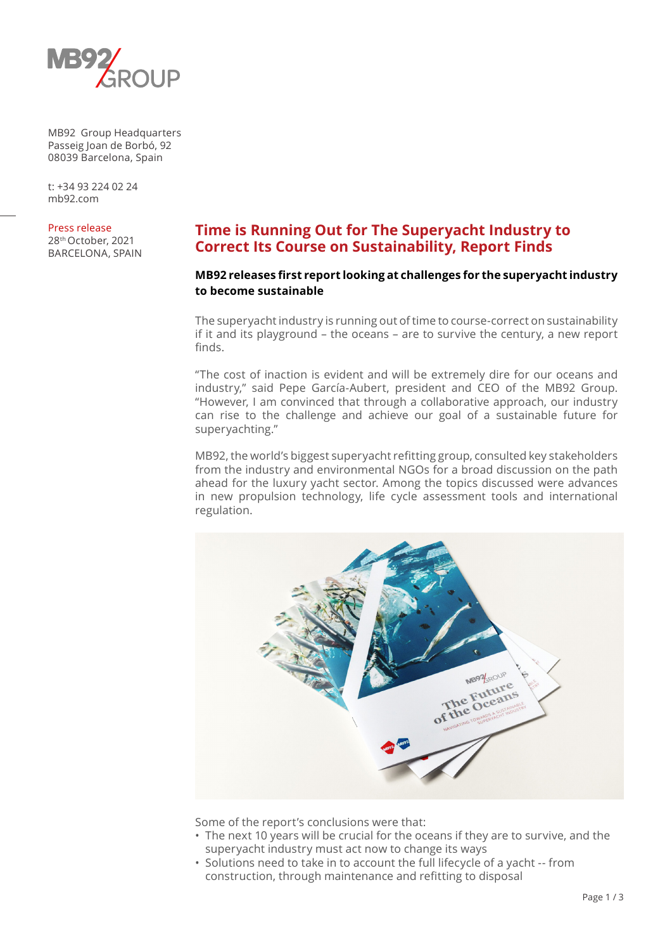

MB92 Group Headquarters Passeig Joan de Borbó, 92 08039 Barcelona, Spain

t: +34 93 224 02 24 mb92.com

Press release

28th October, 2021 BARCELONA, SPAIN

# **Time is Running Out for The Superyacht Industry to Correct Its Course on Sustainability, Report Finds**

# **MB92 releases first report looking at challenges for the superyacht industry to become sustainable**

The superyacht industry is running out of time to course-correct on sustainability if it and its playground – the oceans – are to survive the century, a new report finds.

"The cost of inaction is evident and will be extremely dire for our oceans and industry," said Pepe García-Aubert, president and CEO of the MB92 Group. "However, I am convinced that through a collaborative approach, our industry can rise to the challenge and achieve our goal of a sustainable future for superyachting."

MB92, the world's biggest superyacht refitting group, consulted key stakeholders from the industry and environmental NGOs for a broad discussion on the path ahead for the luxury yacht sector. Among the topics discussed were advances in new propulsion technology, life cycle assessment tools and international regulation.



Some of the report's conclusions were that:

- The next 10 years will be crucial for the oceans if they are to survive, and the superyacht industry must act now to change its ways
- Solutions need to take in to account the full lifecycle of a yacht -- from construction, through maintenance and refitting to disposal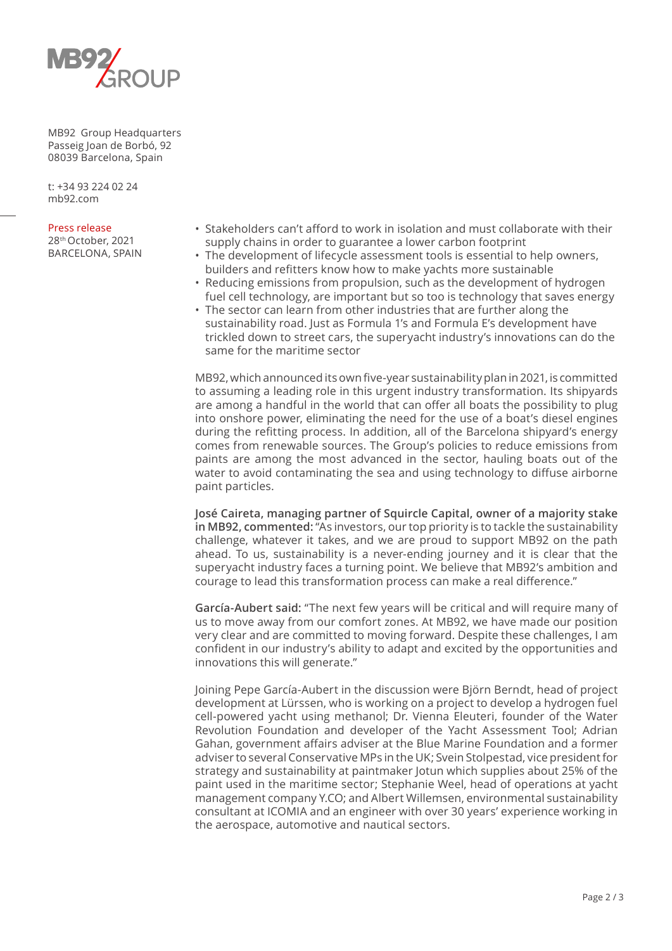

MB92 Group Headquarters Passeig Joan de Borbó, 92 08039 Barcelona, Spain

t: +34 93 224 02 24 mb92.com

#### Press release

28th October, 2021 BARCELONA, SPAIN

- Stakeholders can't afford to work in isolation and must collaborate with their supply chains in order to guarantee a lower carbon footprint
- The development of lifecycle assessment tools is essential to help owners, builders and refitters know how to make yachts more sustainable
- Reducing emissions from propulsion, such as the development of hydrogen fuel cell technology, are important but so too is technology that saves energy
- The sector can learn from other industries that are further along the sustainability road. Just as Formula 1's and Formula E's development have trickled down to street cars, the superyacht industry's innovations can do the same for the maritime sector

MB92, which announced its own five-year sustainability plan in 2021, is committed to assuming a leading role in this urgent industry transformation. Its shipyards are among a handful in the world that can offer all boats the possibility to plug into onshore power, eliminating the need for the use of a boat's diesel engines during the refitting process. In addition, all of the Barcelona shipyard's energy comes from renewable sources. The Group's policies to reduce emissions from paints are among the most advanced in the sector, hauling boats out of the water to avoid contaminating the sea and using technology to diffuse airborne paint particles.

**José Caireta, managing partner of Squircle Capital, owner of a majority stake in MB92, commented:** "As investors, our top priority is to tackle the sustainability challenge, whatever it takes, and we are proud to support MB92 on the path ahead. To us, sustainability is a never-ending journey and it is clear that the superyacht industry faces a turning point. We believe that MB92's ambition and courage to lead this transformation process can make a real difference."

**García-Aubert said:** "The next few years will be critical and will require many of us to move away from our comfort zones. At MB92, we have made our position very clear and are committed to moving forward. Despite these challenges, I am confident in our industry's ability to adapt and excited by the opportunities and innovations this will generate."

Joining Pepe García-Aubert in the discussion were Björn Berndt, head of project development at Lürssen, who is working on a project to develop a hydrogen fuel cell-powered yacht using methanol; Dr. Vienna Eleuteri, founder of the Water Revolution Foundation and developer of the Yacht Assessment Tool; Adrian Gahan, government affairs adviser at the Blue Marine Foundation and a former adviser to several Conservative MPs in the UK; Svein Stolpestad, vice president for strategy and sustainability at paintmaker Jotun which supplies about 25% of the paint used in the maritime sector; Stephanie Weel, head of operations at yacht management company Y.CO; and Albert Willemsen, environmental sustainability consultant at ICOMIA and an engineer with over 30 years' experience working in the aerospace, automotive and nautical sectors.